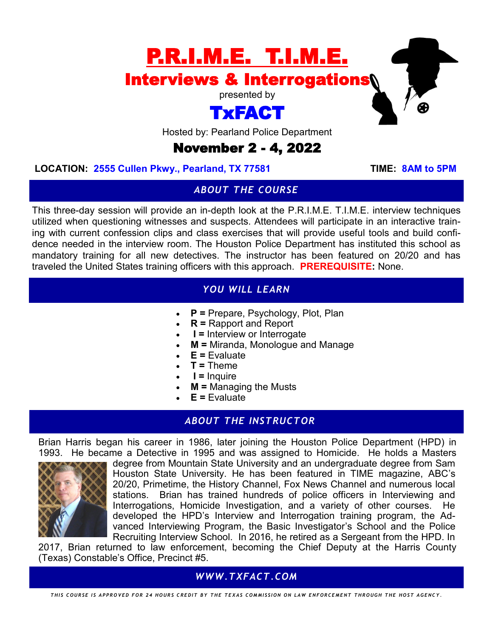

# Interviews & Interrogations

presented by

# TxFACT

Hosted by: Pearland Police Department

## November 2 - 4, 2022

#### LOCATION: 2555 Cullen Pkwy., Pearland, TX 77581 TIME: 8AM to 5PM

### *ABOUT THE COURSE*

This three-day session will provide an in-depth look at the P.R.I.M.E. T.I.M.E. interview techniques utilized when questioning witnesses and suspects. Attendees will participate in an interactive training with current confession clips and class exercises that will provide useful tools and build confidence needed in the interview room. The Houston Police Department has instituted this school as mandatory training for all new detectives. The instructor has been featured on 20/20 and has traveled the United States training officers with this approach. **PREREQUISITE:** None.

### *YOU WILL LEARN*

- **P =** Prepare, Psychology, Plot, Plan
- **R =** Rapport and Report
- **I =** Interview or Interrogate
- **M =** Miranda, Monologue and Manage
- **E =** Evaluate
- $T =$ Theme
- **I =** Inquire
- **M =** Managing the Musts
- **E =** Evaluate

### *ABOUT THE INSTRUCTOR*

Brian Harris began his career in 1986, later joining the Houston Police Department (HPD) in 1993. He became a Detective in 1995 and was assigned to Homicide. He holds a Masters



degree from Mountain State University and an undergraduate degree from Sam Houston State University. He has been featured in TIME magazine, ABC's 20/20, Primetime, the History Channel, Fox News Channel and numerous local stations. Brian has trained hundreds of police officers in Interviewing and Interrogations, Homicide Investigation, and a variety of other courses. He developed the HPD's Interview and Interrogation training program, the Advanced Interviewing Program, the Basic Investigator's School and the Police Recruiting Interview School. In 2016, he retired as a Sergeant from the HPD. In

2017, Brian returned to law enforcement, becoming the Chief Deputy at the Harris County (Texas) Constable's Office, Precinct #5.

### *WWW.TXFACT.COM*

THIS COURSE IS APPROVED FOR 24 HOURS CREDIT BY THE TEXAS COMMISSION ON LAW ENFORCEMENT THROUGH THE HOST AGENCY.